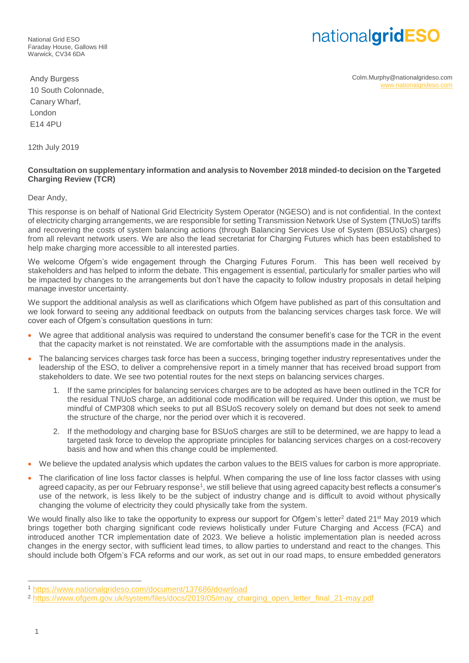National Grid ESO Faraday House, Gallows Hill Warwick, CV34 6DA

## nationalgridESO

Colm.Murphy@nationalgrideso.com [www.nationalgrideso.com](http://www.nationalgrideso.com/)

Andy Burgess 10 South Colonnade, Canary Wharf, London E14 4PU

12th July 2019

## **Consultation on supplementary information and analysis to November 2018 minded-to decision on the Targeted Charging Review (TCR)**

Dear Andy,

This response is on behalf of National Grid Electricity System Operator (NGESO) and is not confidential. In the context of electricity charging arrangements, we are responsible for setting Transmission Network Use of System (TNUoS) tariffs and recovering the costs of system balancing actions (through Balancing Services Use of System (BSUoS) charges) from all relevant network users. We are also the lead secretariat for Charging Futures which has been established to help make charging more accessible to all interested parties.

We welcome Ofgem's wide engagement through the Charging Futures Forum. This has been well received by stakeholders and has helped to inform the debate. This engagement is essential, particularly for smaller parties who will be impacted by changes to the arrangements but don't have the capacity to follow industry proposals in detail helping manage investor uncertainty.

We support the additional analysis as well as clarifications which Ofgem have published as part of this consultation and we look forward to seeing any additional feedback on outputs from the balancing services charges task force. We will cover each of Ofgem's consultation questions in turn:

- We agree that additional analysis was required to understand the consumer benefit's case for the TCR in the event that the capacity market is not reinstated. We are comfortable with the assumptions made in the analysis.
- The balancing services charges task force has been a success, bringing together industry representatives under the leadership of the ESO, to deliver a comprehensive report in a timely manner that has received broad support from stakeholders to date. We see two potential routes for the next steps on balancing services charges.
	- 1. If the same principles for balancing services charges are to be adopted as have been outlined in the TCR for the residual TNUoS charge, an additional code modification will be required. Under this option, we must be mindful of CMP308 which seeks to put all BSUoS recovery solely on demand but does not seek to amend the structure of the charge, nor the period over which it is recovered.
	- 2. If the methodology and charging base for BSUoS charges are still to be determined, we are happy to lead a targeted task force to develop the appropriate principles for balancing services charges on a cost-recovery basis and how and when this change could be implemented.
- We believe the updated analysis which updates the carbon values to the BEIS values for carbon is more appropriate.
- The clarification of line loss factor classes is helpful. When comparing the use of line loss factor classes with using agreed capacity, as per our February response<sup>1</sup>, we still believe that using agreed capacity best reflects a consumer's use of the network, is less likely to be the subject of industry change and is difficult to avoid without physically changing the volume of electricity they could physically take from the system.

We would finally also like to take the opportunity to express our support for Ofgem's letter<sup>2</sup> dated 21<sup>st</sup> May 2019 which brings together both charging significant code reviews holistically under Future Charging and Access (FCA) and introduced another TCR implementation date of 2023. We believe a holistic implementation plan is needed across changes in the energy sector, with sufficient lead times, to allow parties to understand and react to the changes. This should include both Ofgem's FCA reforms and our work, as set out in our road maps, to ensure embedded generators

 $\overline{a}$ 

<sup>1</sup> <https://www.nationalgrideso.com/document/137686/download>

<sup>2</sup> [https://www.ofgem.gov.uk/system/files/docs/2019/05/may\\_charging\\_open\\_letter\\_final\\_21-may.pdf](https://www.ofgem.gov.uk/system/files/docs/2019/05/may_charging_open_letter_final_21-may.pdf)